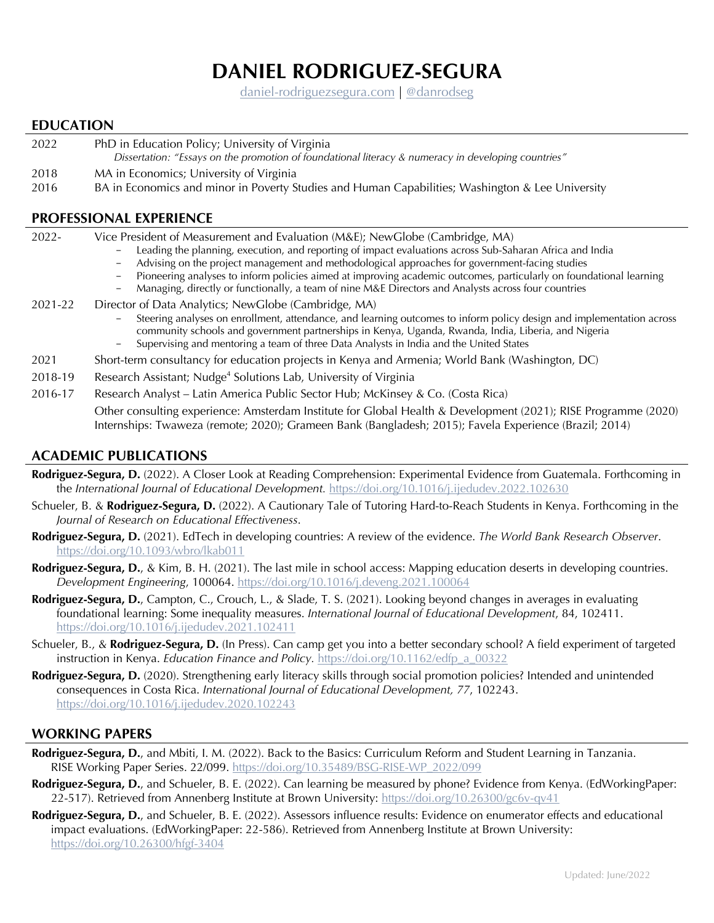# **DANIEL RODRIGUEZ-SEGURA**

[daniel-rodriguezsegura.com](https://www.daniel-rodriguezsegura.com/) | [@danrodseg](https://twitter.com/danrodseg)

#### **EDUCATION**

- 2022 PhD in Education Policy; University of Virginia *Dissertation: "Essays on the promotion of foundational literacy & numeracy in developing countries"*
- 2018 MA in Economics; University of Virginia
- 2016 BA in Economics and minor in Poverty Studies and Human Capabilities; Washington & Lee University

#### **PROFESSIONAL EXPERIENCE**

| $2022 -$ | Vice President of Measurement and Evaluation (M&E); NewGlobe (Cambridge, MA)<br>Leading the planning, execution, and reporting of impact evaluations across Sub-Saharan Africa and India<br>Advising on the project management and methodological approaches for government-facing studies<br>Pioneering analyses to inform policies aimed at improving academic outcomes, particularly on foundational learning<br>Managing, directly or functionally, a team of nine M&E Directors and Analysts across four countries<br>$\qquad \qquad -$ |
|----------|----------------------------------------------------------------------------------------------------------------------------------------------------------------------------------------------------------------------------------------------------------------------------------------------------------------------------------------------------------------------------------------------------------------------------------------------------------------------------------------------------------------------------------------------|
| 2021-22  | Director of Data Analytics; NewGlobe (Cambridge, MA)<br>Steering analyses on enrollment, attendance, and learning outcomes to inform policy design and implementation across<br>community schools and government partnerships in Kenya, Uganda, Rwanda, India, Liberia, and Nigeria<br>Supervising and mentoring a team of three Data Analysts in India and the United States                                                                                                                                                                |
| 2021     | Short-term consultancy for education projects in Kenya and Armenia; World Bank (Washington, DC)                                                                                                                                                                                                                                                                                                                                                                                                                                              |
| 2018-19  | Research Assistant; Nudge <sup>4</sup> Solutions Lab, University of Virginia                                                                                                                                                                                                                                                                                                                                                                                                                                                                 |
| 2016-17  | Research Analyst - Latin America Public Sector Hub; McKinsey & Co. (Costa Rica)                                                                                                                                                                                                                                                                                                                                                                                                                                                              |
|          | Other consulting experience: Amsterdam Institute for Global Health & Development (2021); RISE Programme (2020)<br>Internships: Twaweza (remote; 2020); Grameen Bank (Bangladesh; 2015); Favela Experience (Brazil; 2014)                                                                                                                                                                                                                                                                                                                     |

### **ACADEMIC PUBLICATIONS**

- **Rodriguez-Segura, D.** (2022). A Closer Look at Reading Comprehension: Experimental Evidence from Guatemala. Forthcoming in the *International Journal of Educational Development.* <https://doi.org/10.1016/j.ijedudev.2022.102630>
- Schueler, B. & **Rodriguez-Segura, D.** (2022). A Cautionary Tale of Tutoring Hard-to-Reach Students in Kenya. Forthcoming in the *Journal of Research on Educational Effectiveness*.
- **Rodriguez-Segura, D.** (2021). EdTech in developing countries: A review of the evidence. *The World Bank Research Observer*. [https://doi.org/10.1093/wbro/lkab011]( https://doi.org/10.1093/wbro/lkab011)
- **Rodriguez-Segura, D.**, & Kim, B. H. (2021). The last mile in school access: Mapping education deserts in developing countries. *Development Engineering*, 100064. [https://doi.org/10.1016/j.deveng.2021.100064](https://doi.org/10.1016/j.deveng.2021.100064 )
- **Rodriguez-Segura, D.**, Campton, C., Crouch, L., & Slade, T. S. (2021). Looking beyond changes in averages in evaluating foundational learning: Some inequality measures. *International Journal of Educational Development*, 84, 102411. <https://doi.org/10.1016/j.ijedudev.2021.102411>
- Schueler, B., & **Rodriguez-Segura, D.** (In Press). Can camp get you into a better secondary school? A field experiment of targeted instruction in Kenya. *Education Finance and Policy*. [https://doi.org/10.1162/edfp\\_a\\_00322](https://doi.org/10.1162/edfp_a_00322)
- **Rodriguez-Segura, D.** (2020). Strengthening early literacy skills through social promotion policies? Intended and unintended consequences in Costa Rica. *International Journal of Educational Development, 77*, 102243. <https://doi.org/10.1016/j.ijedudev.2020.102243>

#### **WORKING PAPERS**

- **Rodriguez-Segura, D.**, and Mbiti, I. M. (2022). Back to the Basics: Curriculum Reform and Student Learning in Tanzania. RISE Working Paper Series. 22/099. [https://doi.org/10.35489/BSG-RISE-WP\\_2022/099](https://doi.org/10.35489/BSG-RISE-WP_2022/099 )
- **Rodriguez-Segura, D.**, and Schueler, B. E. (2022). Can learning be measured by phone? Evidence from Kenya. (EdWorkingPaper: 22-517). Retrieved from Annenberg Institute at Brown University: <https://doi.org/10.26300/gc6v-qv41>
- **Rodriguez-Segura, D.**, and Schueler, B. E. (2022). Assessors influence results: Evidence on enumerator effects and educational impact evaluations. (EdWorkingPaper: 22-586). Retrieved from Annenberg Institute at Brown University: [https://doi.org/10.26300/hfgf-3404](https://doi.org/10.26300/hfgf-3404 )